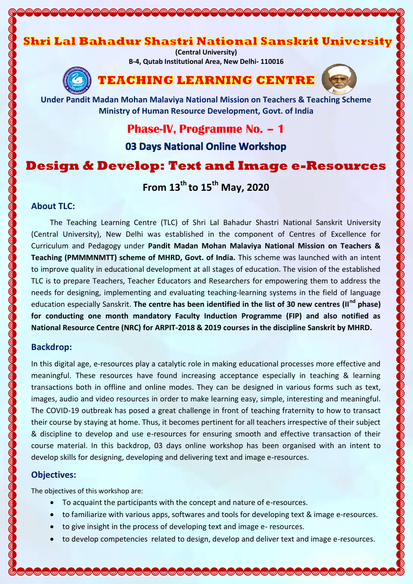# Shri Lal Bahadur Shastri National Sanskrit University

**(Central University) B-4, Qutab Institutional Area, New Delhi- 110016**



# **TEACHING LEARNING CENTRE**



**Under Pandit Madan Mohan Malaviya National Mission on Teachers & Teaching Scheme Ministry of Human Resource Development, Govt. of India**

# **Phase-IV, Programme No. – 1**

03 Days National Online Workshop

# **Design & Develop: Text and Image e-Resources**

**From 13th to 15th May, 2020**

### **About TLC:**

The Teaching Learning Centre (TLC) of Shri Lal Bahadur Shastri National Sanskrit University (Central University), New Delhi was established in the component of Centres of Excellence for Curriculum and Pedagogy under **Pandit Madan Mohan Malaviya National Mission on Teachers & Teaching (PMMMNMTT) scheme of MHRD, Govt. of India.** This scheme was launched with an intent to improve quality in educational development at all stages of education. The vision of the established TLC is to prepare Teachers, Teacher Educators and Researchers for empowering them to address the needs for designing, implementing and evaluating teaching-learning systems in the field of language education especially Sanskrit. **The centre has been identified in the list of 30 new centres (IInd phase) for conducting one month mandatory Faculty Induction Programme (FIP) and also notified as National Resource Centre (NRC) for ARPIT-2018 & 2019 courses in the discipline Sanskrit by MHRD.**

### **Backdrop:**

In this digital age, e-resources play a catalytic role in making educational processes more effective and meaningful. These resources have found increasing acceptance especially in teaching & learning transactions both in offline and online modes. They can be designed in various forms such as text, images, audio and video resources in order to make learning easy, simple, interesting and meaningful. The COVID-19 outbreak has posed a great challenge in front of teaching fraternity to how to transact their course by staying at home. Thus, it becomes pertinent for all teachers irrespective of their subject & discipline to develop and use e-resources for ensuring smooth and effective transaction of their course material. In this backdrop, 03 days online workshop has been organised with an intent to develop skills for designing, developing and delivering text and image e-resources.

### **Objectives:**

The objectives of this workshop are:

- To acquaint the participants with the concept and nature of e-resources.
- to familiarize with various apps, softwares and tools for developing text & image e-resources.
- to give insight in the process of developing text and image e- resources.
- to develop competencies related to design, develop and deliver text and image e-resources.